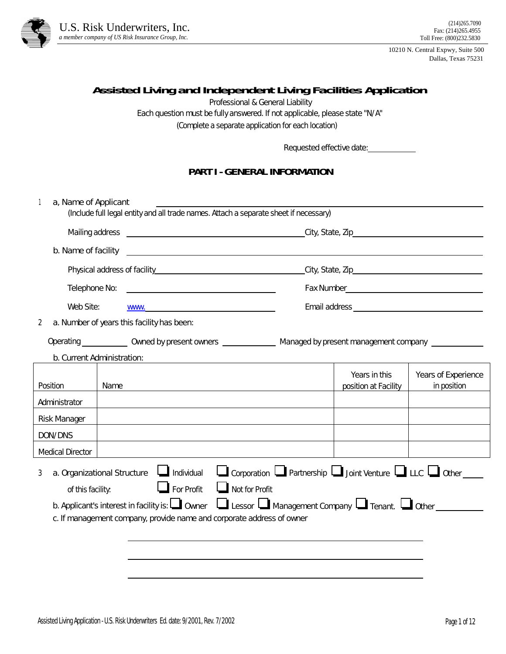

10210 N. Central Expwy, Suite 500 Dallas, Texas 75231

## **Assisted Living and Independent Living Facilities Application**

Professional & General Liability

Each question must be fully answered. If not applicable, please state ''N/A''

(Complete a separate application for each location)

Requested effective date:

#### **PART I - GENERAL INFORMATION**

| a, Name of Applicant    | (Include full legal entity and all trade names. Attach a separate sheet if necessary)                                                                                                                                                                                                               |                                                                             |                                    |
|-------------------------|-----------------------------------------------------------------------------------------------------------------------------------------------------------------------------------------------------------------------------------------------------------------------------------------------------|-----------------------------------------------------------------------------|------------------------------------|
|                         |                                                                                                                                                                                                                                                                                                     |                                                                             |                                    |
|                         |                                                                                                                                                                                                                                                                                                     |                                                                             |                                    |
|                         |                                                                                                                                                                                                                                                                                                     |                                                                             |                                    |
| Telephone No:           |                                                                                                                                                                                                                                                                                                     |                                                                             |                                    |
| Web Site:               | WWW. And the contract of the contract of the contract of the contract of the contract of the contract of the contract of the contract of the contract of the contract of the contract of the contract of the contract of the c                                                                      |                                                                             |                                    |
| 2                       | a. Number of years this facility has been:                                                                                                                                                                                                                                                          |                                                                             |                                    |
|                         | Operating _____________ Owned by present owners ________________ Managed by present management company ________                                                                                                                                                                                     |                                                                             |                                    |
|                         | b. Current Administration:                                                                                                                                                                                                                                                                          |                                                                             |                                    |
| Position                | Name                                                                                                                                                                                                                                                                                                | Years in this<br>position at Facility                                       | Years of Experience<br>in position |
| Administrator           |                                                                                                                                                                                                                                                                                                     |                                                                             |                                    |
| Risk Manager            |                                                                                                                                                                                                                                                                                                     |                                                                             |                                    |
| DON/DNS                 |                                                                                                                                                                                                                                                                                                     |                                                                             |                                    |
| <b>Medical Director</b> |                                                                                                                                                                                                                                                                                                     |                                                                             |                                    |
| 3<br>of this facility:  | $\Box$ Individual<br>a. Organizational Structure<br>$\Box$ For Profit<br>$\Box$ Not for Profit<br>b. Applicant's interest in facility is: $\Box$ Owner $\Box$ Lessor $\Box$ Management Company $\Box$ Tenant. $\Box$ Other<br>c. If management company, provide name and corporate address of owner | Corporation $\Box$ Partnership $\Box$ Joint Venture $\Box$ LLC $\Box$ Other |                                    |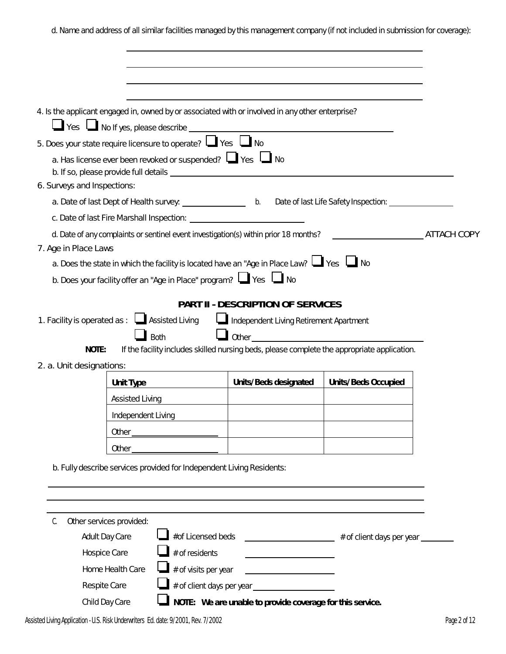d. Name and address of all similar facilities managed by this management company (if not included in submission for coverage):

|                             |                                                                       | 4. Is the applicant engaged in, owned by or associated with or involved in any other enterprise?                                                                                                                                                                                                                                                                                                                                                                                             |                     |                    |
|-----------------------------|-----------------------------------------------------------------------|----------------------------------------------------------------------------------------------------------------------------------------------------------------------------------------------------------------------------------------------------------------------------------------------------------------------------------------------------------------------------------------------------------------------------------------------------------------------------------------------|---------------------|--------------------|
|                             |                                                                       |                                                                                                                                                                                                                                                                                                                                                                                                                                                                                              |                     |                    |
|                             | 5. Does your state require licensure to operate? $\Box$ Yes $\Box$ No |                                                                                                                                                                                                                                                                                                                                                                                                                                                                                              |                     |                    |
|                             |                                                                       | a. Has license ever been revoked or suspended? $\Box$ Yes $\Box$ No                                                                                                                                                                                                                                                                                                                                                                                                                          |                     |                    |
|                             |                                                                       |                                                                                                                                                                                                                                                                                                                                                                                                                                                                                              |                     |                    |
| 6. Surveys and Inspections: |                                                                       |                                                                                                                                                                                                                                                                                                                                                                                                                                                                                              |                     |                    |
|                             |                                                                       |                                                                                                                                                                                                                                                                                                                                                                                                                                                                                              |                     |                    |
|                             |                                                                       |                                                                                                                                                                                                                                                                                                                                                                                                                                                                                              |                     |                    |
|                             |                                                                       | d. Date of any complaints or sentinel event investigation(s) within prior 18 months?                                                                                                                                                                                                                                                                                                                                                                                                         |                     | <b>ATTACH COPY</b> |
| 7. Age in Place Laws        |                                                                       |                                                                                                                                                                                                                                                                                                                                                                                                                                                                                              |                     |                    |
|                             |                                                                       | a. Does the state in which the facility is located have an "Age in Place Law? $\Box$ Yes $\Box$ No                                                                                                                                                                                                                                                                                                                                                                                           |                     |                    |
|                             |                                                                       | b. Does your facility offer an "Age in Place" program? $\Box$ Yes $\Box$ No                                                                                                                                                                                                                                                                                                                                                                                                                  |                     |                    |
|                             |                                                                       |                                                                                                                                                                                                                                                                                                                                                                                                                                                                                              |                     |                    |
|                             |                                                                       | PART II - DESCRIPTION OF SERVICES                                                                                                                                                                                                                                                                                                                                                                                                                                                            |                     |                    |
|                             | 1. Facility is operated as : $\Box$ Assisted Living                   | Independent Living Retirement Apartment                                                                                                                                                                                                                                                                                                                                                                                                                                                      |                     |                    |
| NOTE:                       | <b>Both</b>                                                           | $\Box$ Other                                                                                                                                                                                                                                                                                                                                                                                                                                                                                 |                     |                    |
|                             |                                                                       | If the facility includes skilled nursing beds, please complete the appropriate application.                                                                                                                                                                                                                                                                                                                                                                                                  |                     |                    |
| 2. a. Unit designations:    |                                                                       |                                                                                                                                                                                                                                                                                                                                                                                                                                                                                              |                     |                    |
|                             | Unit Type                                                             | Units/Beds designated                                                                                                                                                                                                                                                                                                                                                                                                                                                                        | Units/Beds Occupied |                    |
|                             | Assisted Living                                                       |                                                                                                                                                                                                                                                                                                                                                                                                                                                                                              |                     |                    |
|                             | Independent Living                                                    |                                                                                                                                                                                                                                                                                                                                                                                                                                                                                              |                     |                    |
|                             |                                                                       |                                                                                                                                                                                                                                                                                                                                                                                                                                                                                              |                     |                    |
|                             | <u> 1990 - Johann Barbara, mart</u><br>Other                          |                                                                                                                                                                                                                                                                                                                                                                                                                                                                                              |                     |                    |
|                             |                                                                       | b. Fully describe services provided for Independent Living Residents:                                                                                                                                                                                                                                                                                                                                                                                                                        |                     |                    |
|                             |                                                                       |                                                                                                                                                                                                                                                                                                                                                                                                                                                                                              |                     |                    |
|                             |                                                                       |                                                                                                                                                                                                                                                                                                                                                                                                                                                                                              |                     |                    |
|                             |                                                                       |                                                                                                                                                                                                                                                                                                                                                                                                                                                                                              |                     |                    |
| C.                          | Other services provided:                                              |                                                                                                                                                                                                                                                                                                                                                                                                                                                                                              |                     |                    |
|                             | Adult Day Care                                                        | #of Licensed beds __________________________ # of client days per year _______                                                                                                                                                                                                                                                                                                                                                                                                               |                     |                    |
|                             | Hospice Care                                                          | # of residents                                                                                                                                                                                                                                                                                                                                                                                                                                                                               |                     |                    |
|                             | Home Health Care                                                      | $\blacksquare$ # of visits per year<br>$\begin{tabular}{ccccc} \multicolumn{2}{c }{\textbf{1} & \multicolumn{2}{c }{\textbf{2} & \multicolumn{2}{c }{\textbf{3} & \multicolumn{2}{c }{\textbf{4} & \multicolumn{2}{c }{\textbf{5} & \multicolumn{2}{c }{\textbf{6} & \multicolumn{2}{c }{\textbf{6} & \multicolumn{2}{c }{\textbf{6} & \multicolumn{2}{c }{\textbf{6} & \multicolumn{2}{c }{\textbf{6} & \multicolumn{2}{c }{\textbf{6} & \multicolumn{2}{c }{\textbf{6} & \multicolumn{2}{$ |                     |                    |
|                             | Respite Care                                                          |                                                                                                                                                                                                                                                                                                                                                                                                                                                                                              |                     |                    |
|                             | Child Day Care                                                        | NOTE: We are unable to provide coverage for this service.                                                                                                                                                                                                                                                                                                                                                                                                                                    |                     |                    |

Assisted Living Application - U.S. Risk Underwriters Ed. date: 9/2001, Rev. 7/2002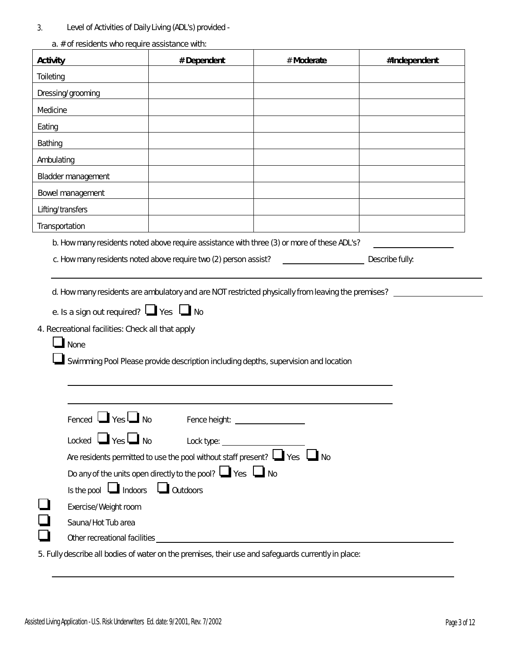3. Level of Activities of Daily Living (ADL's) provided -

|                | Activity                                                                                                                   | # Dependent                                                                                                                                                | # Moderate                                                                                        | #Independent |
|----------------|----------------------------------------------------------------------------------------------------------------------------|------------------------------------------------------------------------------------------------------------------------------------------------------------|---------------------------------------------------------------------------------------------------|--------------|
| Toileting      |                                                                                                                            |                                                                                                                                                            |                                                                                                   |              |
|                | Dressing/grooming                                                                                                          |                                                                                                                                                            |                                                                                                   |              |
| Medicine       |                                                                                                                            |                                                                                                                                                            |                                                                                                   |              |
| Eating         |                                                                                                                            |                                                                                                                                                            |                                                                                                   |              |
| Bathing        |                                                                                                                            |                                                                                                                                                            |                                                                                                   |              |
| Ambulating     |                                                                                                                            |                                                                                                                                                            |                                                                                                   |              |
|                | Bladder management                                                                                                         |                                                                                                                                                            |                                                                                                   |              |
|                | Bowel management                                                                                                           |                                                                                                                                                            |                                                                                                   |              |
|                | Lifting/transfers                                                                                                          |                                                                                                                                                            |                                                                                                   |              |
| Transportation |                                                                                                                            |                                                                                                                                                            |                                                                                                   |              |
|                |                                                                                                                            |                                                                                                                                                            | d. How many residents are ambulatory and are NOT restricted physically from leaving the premises? |              |
|                | e. Is a sign out required? $\Box$ Yes $\Box$ No<br>4. Recreational facilities: Check all that apply<br>$\blacksquare$ None |                                                                                                                                                            | Swimming Pool Please provide description including depths, supervision and location               |              |
|                | Fenced $\Box$ Yes $\Box$ No<br>Locked $\Box$ Yes $\Box$ No                                                                 | Fence height: ___________________                                                                                                                          |                                                                                                   |              |
|                |                                                                                                                            | Are residents permitted to use the pool without staff present? $\Box$ Yes $\Box$ No<br>Do any of the units open directly to the pool? $\Box$ Yes $\Box$ No |                                                                                                   |              |
|                | Is the pool $\Box$ Indoors $\Box$ Outdoors                                                                                 |                                                                                                                                                            |                                                                                                   |              |
|                | Exercise/Weight room<br>Sauna/Hot Tub area                                                                                 |                                                                                                                                                            |                                                                                                   |              |

a.  $#$  of rosidents who require assistance with:

5. Fully describe all bodies of water on the premises, their use and safeguards currently in place: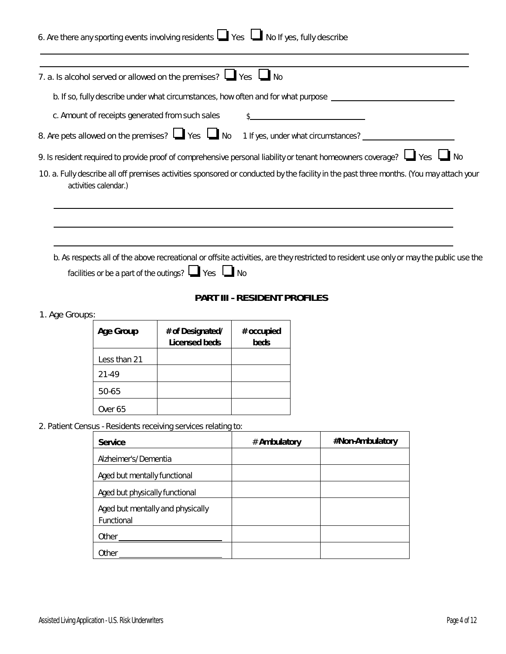|                |                                                | 6. Are there any sporting events involving residents $\Box$ Yes $\Box$ No If yes, fully describe |                                     |                                                                                                                                         |  |
|----------------|------------------------------------------------|--------------------------------------------------------------------------------------------------|-------------------------------------|-----------------------------------------------------------------------------------------------------------------------------------------|--|
|                |                                                | 7. a. Is alcohol served or allowed on the premises? $\Box$ Yes $\Box$ No                         |                                     |                                                                                                                                         |  |
|                |                                                |                                                                                                  |                                     | b. If so, fully describe under what circumstances, how often and for what purpose __________________                                    |  |
|                |                                                | c. Amount of receipts generated from such sales                                                  |                                     |                                                                                                                                         |  |
|                |                                                | 8. Are pets allowed on the premises? $\Box$ Yes $\Box$ No                                        | 1 If yes, under what circumstances? |                                                                                                                                         |  |
|                |                                                |                                                                                                  |                                     | 9. Is resident required to provide proof of comprehensive personal liability or tenant homeowners coverage? [1] Yes                     |  |
|                | activities calendar.)                          |                                                                                                  |                                     | 10. a. Fully describe all off premises activities sponsored or conducted by the facility in the past three months. (You may attach your |  |
|                |                                                | facilities or be a part of the outings? ■ Yes ■ No                                               | PART III - RESIDENT PROFILES        | b. As respects all of the above recreational or offsite activities, are they restricted to resident use only or may the public use the  |  |
| 1. Age Groups: |                                                |                                                                                                  |                                     |                                                                                                                                         |  |
|                | Age Group                                      | # of Designated/<br>Licensed beds                                                                | # occupied<br>beds                  |                                                                                                                                         |  |
|                | Less than 21                                   |                                                                                                  |                                     |                                                                                                                                         |  |
|                | 21-49                                          |                                                                                                  |                                     |                                                                                                                                         |  |
|                | 50-65                                          |                                                                                                  |                                     |                                                                                                                                         |  |
|                | Over 65                                        |                                                                                                  |                                     |                                                                                                                                         |  |
|                |                                                | 2. Patient Census - Residents receiving services relating to:                                    |                                     |                                                                                                                                         |  |
|                | Service                                        |                                                                                                  | # Ambulatory                        | #Non-Ambulatory                                                                                                                         |  |
|                | Alzheimer's/Dementia                           |                                                                                                  |                                     |                                                                                                                                         |  |
|                | Aged but mentally functional                   |                                                                                                  |                                     |                                                                                                                                         |  |
|                | Aged but physically functional                 |                                                                                                  |                                     |                                                                                                                                         |  |
|                | Aged but mentally and physically<br>Functional |                                                                                                  |                                     |                                                                                                                                         |  |
|                | Other_                                         |                                                                                                  |                                     |                                                                                                                                         |  |
|                |                                                |                                                                                                  |                                     |                                                                                                                                         |  |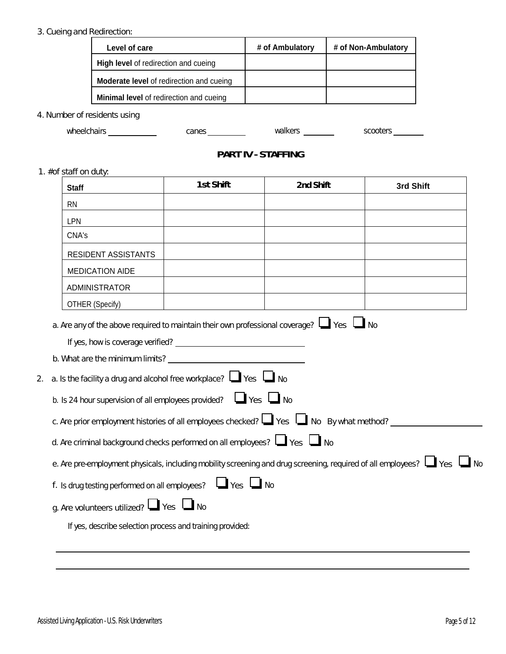## 3. Cueing and Redirection:

| Level of care                                   | # of Ambulatory | # of Non-Ambulatory |
|-------------------------------------------------|-----------------|---------------------|
| <b>High level of redirection and cueing</b>     |                 |                     |
| <b>Moderate level</b> of redirection and cueing |                 |                     |
| <b>Minimal level</b> of redirection and cueing  |                 |                     |

4. Number of residents using

wheelchairs canes walkers scooters

# **PART IV - STAFFING**

1. #of staff on duty:

| <b>Staff</b> |                                                  | 1st Shift                                                                          | 2nd Shift                                                                                          | 3rd Shift                                                                                                                         |
|--------------|--------------------------------------------------|------------------------------------------------------------------------------------|----------------------------------------------------------------------------------------------------|-----------------------------------------------------------------------------------------------------------------------------------|
| <b>RN</b>    |                                                  |                                                                                    |                                                                                                    |                                                                                                                                   |
| LPN          |                                                  |                                                                                    |                                                                                                    |                                                                                                                                   |
| CNA's        |                                                  |                                                                                    |                                                                                                    |                                                                                                                                   |
|              | RESIDENT ASSISTANTS                              |                                                                                    |                                                                                                    |                                                                                                                                   |
|              | <b>MEDICATION AIDE</b>                           |                                                                                    |                                                                                                    |                                                                                                                                   |
|              | ADMINISTRATOR                                    |                                                                                    |                                                                                                    |                                                                                                                                   |
|              | OTHER (Specify)                                  |                                                                                    |                                                                                                    |                                                                                                                                   |
|              |                                                  |                                                                                    | a. Are any of the above required to maintain their own professional coverage? $\Box$ Yes $\Box$ No |                                                                                                                                   |
|              |                                                  |                                                                                    |                                                                                                    |                                                                                                                                   |
|              |                                                  |                                                                                    |                                                                                                    |                                                                                                                                   |
|              |                                                  |                                                                                    |                                                                                                    |                                                                                                                                   |
|              |                                                  | a. Is the facility a drug and alcohol free workplace? $\Box$ Yes $\Box$ No         |                                                                                                    |                                                                                                                                   |
|              |                                                  | b. Is 24 hour supervision of all employees provided? $\Box$ Yes $\Box$ No          |                                                                                                    |                                                                                                                                   |
|              |                                                  |                                                                                    | c. Are prior employment histories of all employees checked? $\Box$ Yes $\Box$ No By what method?   |                                                                                                                                   |
|              |                                                  | d. Are criminal background checks performed on all employees? $\Box$ Yes $\Box$ No |                                                                                                    |                                                                                                                                   |
|              |                                                  |                                                                                    |                                                                                                    | e. Are pre-employment physicals, including mobility screening and drug screening, required of all employees? $\Box$ Yes $\Box$ No |
|              |                                                  | f. Is drug testing performed on all employees? Ves No                              |                                                                                                    |                                                                                                                                   |
|              | g. Are volunteers utilized? $\Box$ Yes $\Box$ No |                                                                                    |                                                                                                    |                                                                                                                                   |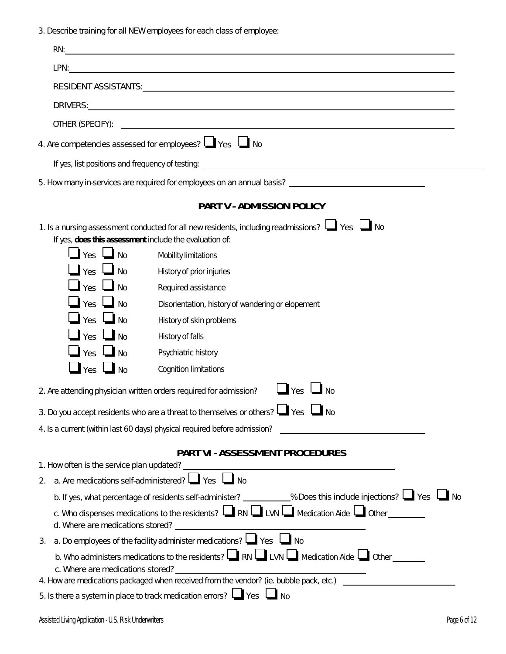3. Describe training for all NEW employees for each class of employee:

| LPN: <u>www.community.community.community.com</u><br>4. Are competencies assessed for employees? $\Box$ Yes $\Box$ No<br>5. How many in-services are required for employees on an annual basis? _____________________________<br>PART V - ADMISSION POLICY<br>1. Is a nursing assessment conducted for all new residents, including readmissions? $\Box$ Yes $\Box$ No<br>If yes, does this assessment include the evaluation of:<br>$\Box$ Yes $\Box$ No<br>Mobility limitations<br>$\Box$ Yes $\Box$ No<br>History of prior injuries<br>$\mathbf{I}$ Yes $\mathbf{I}$ No<br>Required assistance<br>$\Box$ Yes $\Box$ No<br>Disorientation, history of wandering or elopement<br>$\Box$ Yes $\Box$ No<br>History of skin problems<br>$\Box$ Yes $\Box$ No<br>History of falls<br>$\Box$ Yes $\Box$ No<br>Psychiatric history<br>$\Box$ Yes $\Box$ No<br><b>Cognition limitations</b><br>$\Box$ Yes $\Box$ No<br>2. Are attending physician written orders required for admission?<br>3. Do you accept residents who are a threat to themselves or others? └█ Yes └█ No<br>4. Is a current (within last 60 days) physical required before admission?<br>PART VI - ASSESSMENT PROCEDURES<br>1. How often is the service plan updated?<br><u> and</u> the service plan updated?<br><u> and the service plane updated?</u><br>2. a. Are medications self-administered? $\Box$ Yes $\Box$ No<br>b. If yes, what percentage of residents self-administer? ___________% Does this include injections? Log Yes Log<br>c. Who dispenses medications to the residents? $\Box$ RN $\Box$ LVN $\Box$ Medication Aide $\Box$ Other ________ | RN: <b>All and Containing the Containing Street and Containing Street and Containing Street and Containing Street and</b> |
|---------------------------------------------------------------------------------------------------------------------------------------------------------------------------------------------------------------------------------------------------------------------------------------------------------------------------------------------------------------------------------------------------------------------------------------------------------------------------------------------------------------------------------------------------------------------------------------------------------------------------------------------------------------------------------------------------------------------------------------------------------------------------------------------------------------------------------------------------------------------------------------------------------------------------------------------------------------------------------------------------------------------------------------------------------------------------------------------------------------------------------------------------------------------------------------------------------------------------------------------------------------------------------------------------------------------------------------------------------------------------------------------------------------------------------------------------------------------------------------------------------------------------------------------------------------------------------------------------------------------------------|---------------------------------------------------------------------------------------------------------------------------|
|                                                                                                                                                                                                                                                                                                                                                                                                                                                                                                                                                                                                                                                                                                                                                                                                                                                                                                                                                                                                                                                                                                                                                                                                                                                                                                                                                                                                                                                                                                                                                                                                                                 |                                                                                                                           |
|                                                                                                                                                                                                                                                                                                                                                                                                                                                                                                                                                                                                                                                                                                                                                                                                                                                                                                                                                                                                                                                                                                                                                                                                                                                                                                                                                                                                                                                                                                                                                                                                                                 |                                                                                                                           |
|                                                                                                                                                                                                                                                                                                                                                                                                                                                                                                                                                                                                                                                                                                                                                                                                                                                                                                                                                                                                                                                                                                                                                                                                                                                                                                                                                                                                                                                                                                                                                                                                                                 |                                                                                                                           |
|                                                                                                                                                                                                                                                                                                                                                                                                                                                                                                                                                                                                                                                                                                                                                                                                                                                                                                                                                                                                                                                                                                                                                                                                                                                                                                                                                                                                                                                                                                                                                                                                                                 |                                                                                                                           |
|                                                                                                                                                                                                                                                                                                                                                                                                                                                                                                                                                                                                                                                                                                                                                                                                                                                                                                                                                                                                                                                                                                                                                                                                                                                                                                                                                                                                                                                                                                                                                                                                                                 |                                                                                                                           |
|                                                                                                                                                                                                                                                                                                                                                                                                                                                                                                                                                                                                                                                                                                                                                                                                                                                                                                                                                                                                                                                                                                                                                                                                                                                                                                                                                                                                                                                                                                                                                                                                                                 |                                                                                                                           |
|                                                                                                                                                                                                                                                                                                                                                                                                                                                                                                                                                                                                                                                                                                                                                                                                                                                                                                                                                                                                                                                                                                                                                                                                                                                                                                                                                                                                                                                                                                                                                                                                                                 |                                                                                                                           |
|                                                                                                                                                                                                                                                                                                                                                                                                                                                                                                                                                                                                                                                                                                                                                                                                                                                                                                                                                                                                                                                                                                                                                                                                                                                                                                                                                                                                                                                                                                                                                                                                                                 |                                                                                                                           |
|                                                                                                                                                                                                                                                                                                                                                                                                                                                                                                                                                                                                                                                                                                                                                                                                                                                                                                                                                                                                                                                                                                                                                                                                                                                                                                                                                                                                                                                                                                                                                                                                                                 |                                                                                                                           |
|                                                                                                                                                                                                                                                                                                                                                                                                                                                                                                                                                                                                                                                                                                                                                                                                                                                                                                                                                                                                                                                                                                                                                                                                                                                                                                                                                                                                                                                                                                                                                                                                                                 |                                                                                                                           |
|                                                                                                                                                                                                                                                                                                                                                                                                                                                                                                                                                                                                                                                                                                                                                                                                                                                                                                                                                                                                                                                                                                                                                                                                                                                                                                                                                                                                                                                                                                                                                                                                                                 |                                                                                                                           |
|                                                                                                                                                                                                                                                                                                                                                                                                                                                                                                                                                                                                                                                                                                                                                                                                                                                                                                                                                                                                                                                                                                                                                                                                                                                                                                                                                                                                                                                                                                                                                                                                                                 |                                                                                                                           |
|                                                                                                                                                                                                                                                                                                                                                                                                                                                                                                                                                                                                                                                                                                                                                                                                                                                                                                                                                                                                                                                                                                                                                                                                                                                                                                                                                                                                                                                                                                                                                                                                                                 |                                                                                                                           |
|                                                                                                                                                                                                                                                                                                                                                                                                                                                                                                                                                                                                                                                                                                                                                                                                                                                                                                                                                                                                                                                                                                                                                                                                                                                                                                                                                                                                                                                                                                                                                                                                                                 |                                                                                                                           |
|                                                                                                                                                                                                                                                                                                                                                                                                                                                                                                                                                                                                                                                                                                                                                                                                                                                                                                                                                                                                                                                                                                                                                                                                                                                                                                                                                                                                                                                                                                                                                                                                                                 |                                                                                                                           |
|                                                                                                                                                                                                                                                                                                                                                                                                                                                                                                                                                                                                                                                                                                                                                                                                                                                                                                                                                                                                                                                                                                                                                                                                                                                                                                                                                                                                                                                                                                                                                                                                                                 |                                                                                                                           |
|                                                                                                                                                                                                                                                                                                                                                                                                                                                                                                                                                                                                                                                                                                                                                                                                                                                                                                                                                                                                                                                                                                                                                                                                                                                                                                                                                                                                                                                                                                                                                                                                                                 |                                                                                                                           |
|                                                                                                                                                                                                                                                                                                                                                                                                                                                                                                                                                                                                                                                                                                                                                                                                                                                                                                                                                                                                                                                                                                                                                                                                                                                                                                                                                                                                                                                                                                                                                                                                                                 |                                                                                                                           |
|                                                                                                                                                                                                                                                                                                                                                                                                                                                                                                                                                                                                                                                                                                                                                                                                                                                                                                                                                                                                                                                                                                                                                                                                                                                                                                                                                                                                                                                                                                                                                                                                                                 |                                                                                                                           |
|                                                                                                                                                                                                                                                                                                                                                                                                                                                                                                                                                                                                                                                                                                                                                                                                                                                                                                                                                                                                                                                                                                                                                                                                                                                                                                                                                                                                                                                                                                                                                                                                                                 |                                                                                                                           |
|                                                                                                                                                                                                                                                                                                                                                                                                                                                                                                                                                                                                                                                                                                                                                                                                                                                                                                                                                                                                                                                                                                                                                                                                                                                                                                                                                                                                                                                                                                                                                                                                                                 |                                                                                                                           |
|                                                                                                                                                                                                                                                                                                                                                                                                                                                                                                                                                                                                                                                                                                                                                                                                                                                                                                                                                                                                                                                                                                                                                                                                                                                                                                                                                                                                                                                                                                                                                                                                                                 |                                                                                                                           |
|                                                                                                                                                                                                                                                                                                                                                                                                                                                                                                                                                                                                                                                                                                                                                                                                                                                                                                                                                                                                                                                                                                                                                                                                                                                                                                                                                                                                                                                                                                                                                                                                                                 |                                                                                                                           |
|                                                                                                                                                                                                                                                                                                                                                                                                                                                                                                                                                                                                                                                                                                                                                                                                                                                                                                                                                                                                                                                                                                                                                                                                                                                                                                                                                                                                                                                                                                                                                                                                                                 |                                                                                                                           |
|                                                                                                                                                                                                                                                                                                                                                                                                                                                                                                                                                                                                                                                                                                                                                                                                                                                                                                                                                                                                                                                                                                                                                                                                                                                                                                                                                                                                                                                                                                                                                                                                                                 |                                                                                                                           |
| a. Do employees of the facility administer medications? $\Box$ Yes $\Box$ No<br>3.                                                                                                                                                                                                                                                                                                                                                                                                                                                                                                                                                                                                                                                                                                                                                                                                                                                                                                                                                                                                                                                                                                                                                                                                                                                                                                                                                                                                                                                                                                                                              |                                                                                                                           |
| b. Who administers medications to the residents? $\Box$ RN $\Box$ LVN $\Box$ Medication Aide $\Box$ Other _______<br>c. Where are medications stored?<br>4. How are medications packaged when received from the vendor? (ie. bubble pack, etc.)                                                                                                                                                                                                                                                                                                                                                                                                                                                                                                                                                                                                                                                                                                                                                                                                                                                                                                                                                                                                                                                                                                                                                                                                                                                                                                                                                                                 |                                                                                                                           |
| 5. Is there a system in place to track medication errors? $\Box$ Yes $\Box$ No                                                                                                                                                                                                                                                                                                                                                                                                                                                                                                                                                                                                                                                                                                                                                                                                                                                                                                                                                                                                                                                                                                                                                                                                                                                                                                                                                                                                                                                                                                                                                  |                                                                                                                           |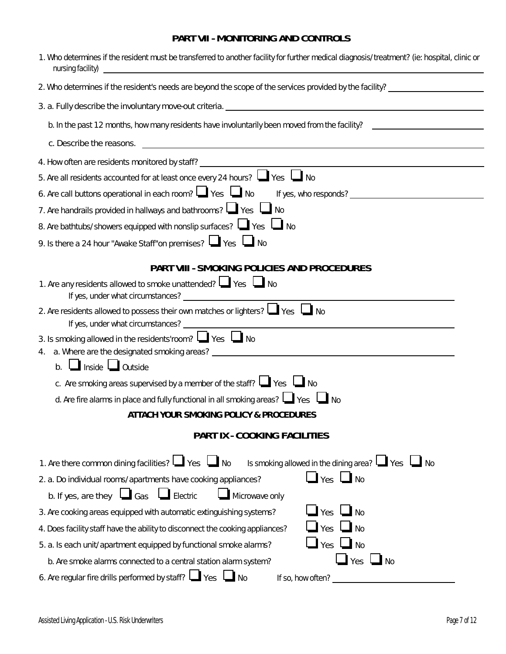# **PART VII - MONITORING AND CONTROLS**

| 1. Who determines if the resident must be transferred to another facility for further medical diagnosis/treatment? (ie: hospital, clinic or<br>nursing facility) |
|------------------------------------------------------------------------------------------------------------------------------------------------------------------|
| 2. Who determines if the resident's needs are beyond the scope of the services provided by the facility?                                                         |
|                                                                                                                                                                  |
| b. In the past 12 months, how many residents have involuntarily been moved from the facility?                                                                    |
|                                                                                                                                                                  |
| 4. How often are residents monitored by staff?<br><u> 1989 - Johann Barbara, martin a</u>                                                                        |
| 5. Are all residents accounted for at least once every 24 hours? $\Box$ Yes $\Box$ No                                                                            |
| 6. Are call buttons operational in each room? $\Box$ Yes $\Box$ No                                                                                               |
| 7. Are handrails provided in hallways and bathrooms? $\Box$ Yes $\Box$ No                                                                                        |
| 8. Are bathtubs/showers equipped with nonslip surfaces? $\Box$ Yes $\Box$ No                                                                                     |
| 9. Is there a 24 hour "Awake Staff"on premises? $\Box$ Yes $\Box$ No                                                                                             |
| PART VIII - SMOKING POLICIES AND PROCEDURES                                                                                                                      |
| 1. Are any residents allowed to smoke unattended? $\Box$ Yes $\Box$ No                                                                                           |
| 2. Are residents allowed to possess their own matches or lighters? Wes No                                                                                        |
| 3. Is smoking allowed in the residents'room? Wes No                                                                                                              |
| 4.                                                                                                                                                               |
| b. LI Inside QUI outside                                                                                                                                         |
| c. Are smoking areas supervised by a member of the staff? $\Box$ Yes $\Box$ No                                                                                   |
| d. Are fire alarms in place and fully functional in all smoking areas? $\Box$ Yes $\Box$ No                                                                      |
| ATTACH YOUR SMOKING POLICY & PROCEDURES                                                                                                                          |
| PART IX - COOKING FACILITIES                                                                                                                                     |
| 1. Are there common dining facilities? I Ves I No Is smoking allowed in the dining area? I Yes I No                                                              |
| $\Box$ Yes $\Box$ No<br>2. a. Do individual rooms/apartments have cooking appliances?                                                                            |
| b. If yes, are they $\Box$ Gas $\Box$ Electric<br>Microwave only                                                                                                 |
| $\mathsf{I}$ Yes<br>$\Box$ No<br>3. Are cooking areas equipped with automatic extinguishing systems?                                                             |
| Yes<br>4. Does facility staff have the ability to disconnect the cooking appliances?                                                                             |
| $\Box$ Yes $\Box$ No<br>5. a. Is each unit/apartment equipped by functional smoke alarms?                                                                        |
| $\mathbf{\mathsf{I}}$ Yes<br>$\mathbf{l}$ No<br>b. Are smoke alarms connected to a central station alarm system?                                                 |
| 6. Are regular fire drills performed by staff? $\Box$ Yes $\Box$ No<br>If so, how often?                                                                         |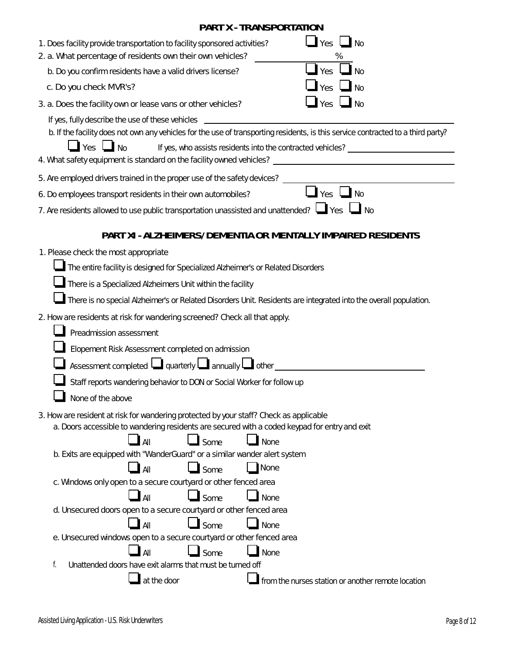|                                                                                                                                                                                                                                              | <b>PART X - TRANSPORTATION</b> |                                                                                   |
|----------------------------------------------------------------------------------------------------------------------------------------------------------------------------------------------------------------------------------------------|--------------------------------|-----------------------------------------------------------------------------------|
| 1. Does facility provide transportation to facility sponsored activities?<br>2. a. What percentage of residents own their own vehicles?                                                                                                      |                                | $\Box$ Yes $\Box$ No<br>%                                                         |
| b. Do you confirm residents have a valid drivers license?                                                                                                                                                                                    |                                | $\Box$ Yes $\Box$ No                                                              |
| c. Do you check MVR's?                                                                                                                                                                                                                       |                                | $\blacksquare$ Yes $\blacksquare$ No                                              |
| 3. a. Does the facility own or lease vans or other vehicles?                                                                                                                                                                                 |                                | $\Box$ Yes $\Box$ No                                                              |
| If yes, fully describe the use of these vehicles _______________________________<br>b. If the facility does not own any vehicles for the use of transporting residents, is this service contracted to a third party?<br>$\Box$ Yes $\Box$ No |                                | If yes, who assists residents into the contracted vehicles? _____________________ |
|                                                                                                                                                                                                                                              |                                |                                                                                   |
| 6. Do employees transport residents in their own automobiles?                                                                                                                                                                                |                                | $\frac{1}{\sqrt{2}}$ Yes $\frac{1}{\sqrt{2}}$ No                                  |
| 7. Are residents allowed to use public transportation unassisted and unattended? $\Box$ Yes $\Box$ No                                                                                                                                        |                                |                                                                                   |
|                                                                                                                                                                                                                                              |                                | PART XI - ALZHEIMERS/DEMENTIA OR MENTALLY IMPAIRED RESIDENTS                      |
| 1. Please check the most appropriate                                                                                                                                                                                                         |                                |                                                                                   |
| The entire facility is designed for Specialized Alzheimer's or Related Disorders                                                                                                                                                             |                                |                                                                                   |
| There is a Specialized Alzheimers Unit within the facility                                                                                                                                                                                   |                                |                                                                                   |
| There is no special Alzheimer's or Related Disorders Unit. Residents are integrated into the overall population.                                                                                                                             |                                |                                                                                   |
| 2. How are residents at risk for wandering screened? Check all that apply.                                                                                                                                                                   |                                |                                                                                   |
| Preadmission assessment                                                                                                                                                                                                                      |                                |                                                                                   |
| Elopement Risk Assessment completed on admission                                                                                                                                                                                             |                                |                                                                                   |
| Assessment completed $\Box$ quarterly $\Box$ annually $\Box$ other                                                                                                                                                                           |                                |                                                                                   |
| Staff reports wandering behavior to DON or Social Worker for follow up                                                                                                                                                                       |                                |                                                                                   |
| None of the above                                                                                                                                                                                                                            |                                |                                                                                   |
| 3. How are resident at risk for wandering protected by your staff? Check as applicable<br>a. Doors accessible to wandering residents are secured with a coded keypad for entry and exit<br>$\Box$ All<br>$\Box$ Some                         | $\Box$ None                    |                                                                                   |
| b. Exits are equipped with "WanderGuard" or a similar wander alert system                                                                                                                                                                    |                                |                                                                                   |
| $\Box$ All                                                                                                                                                                                                                                   | None<br>$\Box$ Some            |                                                                                   |
| c. Windows only open to a secure courtyard or other fenced area                                                                                                                                                                              |                                |                                                                                   |
| All                                                                                                                                                                                                                                          | Some<br>None                   |                                                                                   |
| d. Unsecured doors open to a secure courtyard or other fenced area                                                                                                                                                                           |                                |                                                                                   |
| All<br>e. Unsecured windows open to a secure courtyard or other fenced area                                                                                                                                                                  | Some<br>None                   |                                                                                   |
| All                                                                                                                                                                                                                                          | Some<br>None                   |                                                                                   |
| f.<br>Unattended doors have exit alarms that must be turned off                                                                                                                                                                              |                                |                                                                                   |
| at the door                                                                                                                                                                                                                                  |                                | from the nurses station or another remote location                                |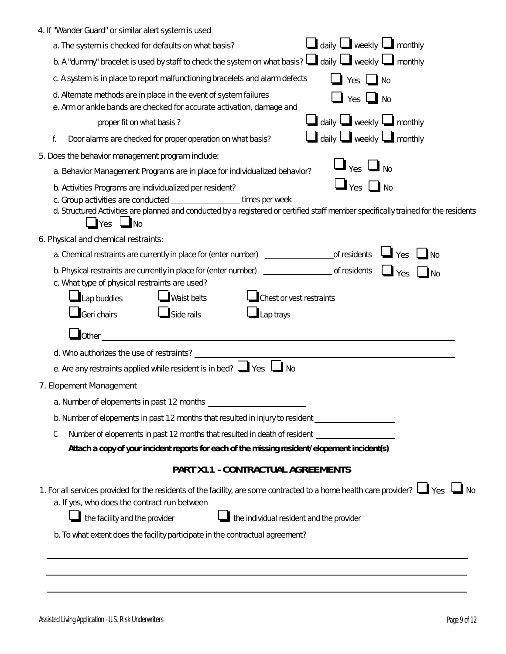| 4. If "Wander Guard" or similar alert system is used                                                                                                                                                                                                                             |
|----------------------------------------------------------------------------------------------------------------------------------------------------------------------------------------------------------------------------------------------------------------------------------|
| $\Box$ daily $\Box$ weekly $\Box$ monthly<br>a. The system is checked for defaults on what basis?                                                                                                                                                                                |
| b. A "dummy" bracelet is used by staff to check the system on what basis? $\Box$ daily $\Box$ weekly $\Box$ monthly                                                                                                                                                              |
| c. A system is in place to report malfunctioning bracelets and alarm defects<br>Yes $\Box$ No                                                                                                                                                                                    |
| d. Alternate methods are in place in the event of system failures<br>Yes $\Box$ No<br>e. Arm or ankle bands are checked for accurate activation, damage and                                                                                                                      |
| $\Box$ daily $\Box$ weekly $\Box$ monthly<br>proper fit on what basis?                                                                                                                                                                                                           |
| $\Box$ daily $\Box$ weekly $\Box$ monthly<br>Door alarms are checked for proper operation on what basis?<br>f.                                                                                                                                                                   |
| 5. Does the behavior management program include:                                                                                                                                                                                                                                 |
| $\Box_{\gamma_{\rm eS}} \Box_{\rm No}$<br>a. Behavior Management Programs are in place for individualized behavior?                                                                                                                                                              |
| $\Box$ Yes $\Box$ No<br>b. Activities Programs are individualized per resident?<br>times per week<br>d. Structured Activities are planned and conducted by a registered or certified staff member specifically trained for the residents<br>$\blacksquare$ Yes $\blacksquare$ No |
| 6. Physical and chemical restraints:                                                                                                                                                                                                                                             |
| $\Box$ $\gamma$ es<br>$\Box$ No                                                                                                                                                                                                                                                  |
| b. Physical restraints are currently in place for (enter number) _______________________ of residents<br>$\Box$ Yes<br>$\Box$ No<br>c. What type of physical restraints are used?                                                                                                |
| Lap buddies<br>Chest or vest restraints<br>Waist belts                                                                                                                                                                                                                           |
| Geri chairs<br>$\Box$ Side rails<br>$\blacksquare$ Lap trays                                                                                                                                                                                                                     |
|                                                                                                                                                                                                                                                                                  |
| d. Who authorizes the use of restraints?<br><u> 1980 - Jan Samuel Barbara, martin di sebagai personal di sebagai personal di sebagai personal di sebagai per</u>                                                                                                                 |
| e. Are any restraints applied while resident is in bed? $\Box$ Yes $\Box$ No                                                                                                                                                                                                     |
| 7. Elopement Management                                                                                                                                                                                                                                                          |
|                                                                                                                                                                                                                                                                                  |
| b. Number of elopements in past 12 months that resulted in injury to resident                                                                                                                                                                                                    |
| Number of elopements in past 12 months that resulted in death of resident<br>C.<br>Attach a copy of your incident reports for each of the missing resident/elopement incident(s)                                                                                                 |
| PART X11 - CONTRACTUAL AGREEMENTS                                                                                                                                                                                                                                                |
| 1. For all services provided for the residents of the facility, are some contracted to a home health care provider? ↓ Yes ↓ No<br>a. If yes, who does the contract run between<br>the facility and the provider<br>the individual resident and the provider                      |
| b. To what extent does the facility participate in the contractual agreement?                                                                                                                                                                                                    |
|                                                                                                                                                                                                                                                                                  |
|                                                                                                                                                                                                                                                                                  |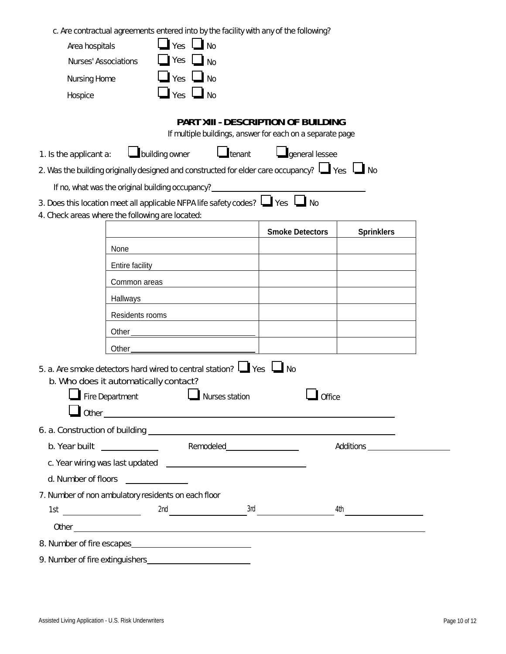c. Are contractual agreements entered into by the facility with any of the following?

| Area hospitals                                   |                        | Yes                  | <b>No</b>             |                                                                                                                                                                                                                                      |                   |
|--------------------------------------------------|------------------------|----------------------|-----------------------|--------------------------------------------------------------------------------------------------------------------------------------------------------------------------------------------------------------------------------------|-------------------|
| Nurses' Associations                             |                        | Yes                  | <b>No</b>             |                                                                                                                                                                                                                                      |                   |
| <b>Nursing Home</b>                              |                        |                      | $Yes \Box No$         |                                                                                                                                                                                                                                      |                   |
| Hospice                                          |                        | $\Box$ Yes $\Box$ No |                       |                                                                                                                                                                                                                                      |                   |
| 1. Is the applicant a:                           |                        | building owner       | $\blacksquare$ tenant | PART XIII - DESCRIPTION OF BUILDING<br>If multiple buildings, answer for each on a separate page<br><b>q</b> eneral lessee<br>2. Was the building originally designed and constructed for elder care occupancy? $\Box$ Yes $\Box$ No |                   |
| If no, what was the original building occupancy? |                        |                      |                       |                                                                                                                                                                                                                                      |                   |
|                                                  |                        |                      |                       | 3. Does this location meet all applicable NFPA life safety codes? $\Box$ Yes $\Box$ No                                                                                                                                               |                   |
| 4. Check areas where the following are located:  |                        |                      |                       |                                                                                                                                                                                                                                      |                   |
|                                                  |                        |                      |                       | <b>Smoke Detectors</b>                                                                                                                                                                                                               | <b>Sprinklers</b> |
|                                                  | None                   |                      |                       |                                                                                                                                                                                                                                      |                   |
|                                                  | <b>Entire facility</b> |                      |                       |                                                                                                                                                                                                                                      |                   |
|                                                  | Common areas           |                      |                       |                                                                                                                                                                                                                                      |                   |
|                                                  |                        |                      |                       |                                                                                                                                                                                                                                      |                   |

|                                                     | Common areas                                                            |                                                                                                                       |                                                       |  |
|-----------------------------------------------------|-------------------------------------------------------------------------|-----------------------------------------------------------------------------------------------------------------------|-------------------------------------------------------|--|
|                                                     | Hallways                                                                |                                                                                                                       | <u> 1989 - Johann Stein, fransk politik (f. 1989)</u> |  |
|                                                     | Residents rooms                                                         | <u> 1989 - Johann Barbara, martin amerikan basal dan berasal dalam basal dan berasal dalam basal dalam basal dala</u> |                                                       |  |
|                                                     |                                                                         |                                                                                                                       |                                                       |  |
|                                                     |                                                                         |                                                                                                                       |                                                       |  |
|                                                     | b. Who does it automatically contact?<br>Fire Department Nurses station | 5. a. Are smoke detectors hard wired to central station? $\Box$ Yes $\Box$ No                                         | Office                                                |  |
|                                                     |                                                                         |                                                                                                                       |                                                       |  |
|                                                     |                                                                         |                                                                                                                       |                                                       |  |
|                                                     |                                                                         |                                                                                                                       |                                                       |  |
|                                                     |                                                                         |                                                                                                                       |                                                       |  |
| d. Number of floors                                 |                                                                         |                                                                                                                       |                                                       |  |
| 7. Number of non ambulatory residents on each floor |                                                                         |                                                                                                                       |                                                       |  |
| $\begin{array}{c}\n 1st \end{array}$                |                                                                         |                                                                                                                       |                                                       |  |
|                                                     |                                                                         |                                                                                                                       |                                                       |  |
|                                                     |                                                                         |                                                                                                                       |                                                       |  |
| 9. Number of fire extinguishers                     |                                                                         |                                                                                                                       |                                                       |  |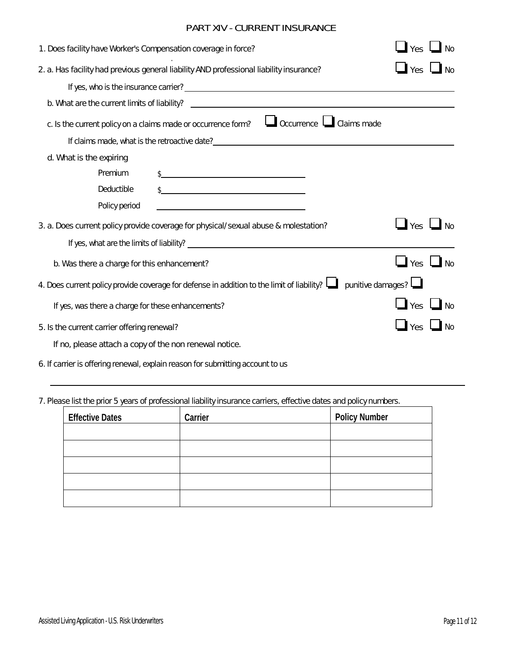# PART XIV - CURRENT INSURANCE

| 1. Does facility have Worker's Compensation coverage in force?                                                      | Yes                              | $\Box$ No |  |  |
|---------------------------------------------------------------------------------------------------------------------|----------------------------------|-----------|--|--|
| 2. a. Has facility had previous general liability AND professional liability insurance?                             | Yes                              |           |  |  |
|                                                                                                                     |                                  |           |  |  |
|                                                                                                                     |                                  |           |  |  |
| Occurrence Claims made<br>c. Is the current policy on a claims made or occurrence form?                             |                                  |           |  |  |
|                                                                                                                     |                                  |           |  |  |
| d. What is the expiring                                                                                             |                                  |           |  |  |
| Premium<br>$\frac{1}{2}$                                                                                            |                                  |           |  |  |
| Deductible                                                                                                          |                                  |           |  |  |
| Policy period                                                                                                       |                                  |           |  |  |
| 3. a. Does current policy provide coverage for physical/sexual abuse & molestation?                                 | $\Box$ Yes $\Box$ No             |           |  |  |
|                                                                                                                     |                                  |           |  |  |
| b. Was there a charge for this enhancement?                                                                         | $\mathbf{I}$ Yes $\mathbf{I}$ No |           |  |  |
| 4. Does current policy provide coverage for defense in addition to the limit of liability? $\Box$ punitive damages? |                                  |           |  |  |
| If yes, was there a charge for these enhancements?                                                                  | $\mathbf{I}$ Yes $\mathbf{I}$ No |           |  |  |
| 5. Is the current carrier offering renewal?                                                                         | $\Box$ Yes $\Box$ No             |           |  |  |
| If no, please attach a copy of the non renewal notice.                                                              |                                  |           |  |  |
| 6. If carrier is offering renewal, explain reason for submitting account to us                                      |                                  |           |  |  |

7. Please list the prior 5 years of professional liability insurance carriers, effective dates and policy numbers.

| <b>Effective Dates</b> | <b>Carrier</b> | <b>Policy Number</b> |
|------------------------|----------------|----------------------|
|                        |                |                      |
|                        |                |                      |
|                        |                |                      |
|                        |                |                      |
|                        |                |                      |